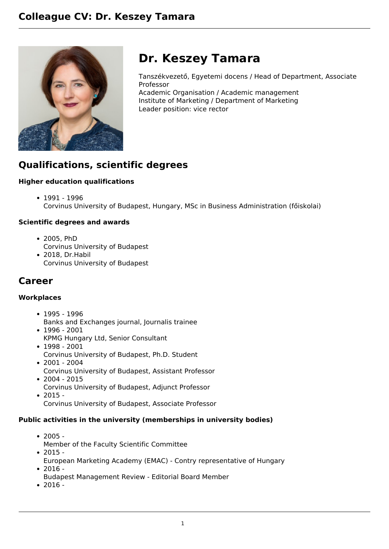

# **Dr. Keszey Tamara**

Tanszékvezető, Egyetemi docens / Head of Department, Associate Professor

Academic Organisation / Academic management Institute of Marketing / Department of Marketing Leader position: vice rector

## **Qualifications, scientific degrees**

#### **Higher education qualifications**

1991 - 1996 Corvinus University of Budapest, Hungary, MSc in Business Administration (főiskolai)

#### **Scientific degrees and awards**

- 2005, PhD Corvinus University of Budapest
- 2018, Dr.Habil Corvinus University of Budapest

### **Career**

#### **Workplaces**

- 1995 1996
- Banks and Exchanges journal, Journalis trainee
- 1996 2001 KPMG Hungary Ltd, Senior Consultant
- 1998 2001 Corvinus University of Budapest, Ph.D. Student
- $2001 2004$ Corvinus University of Budapest, Assistant Professor
- $2004 2015$ Corvinus University of Budapest, Adjunct Professor
- $2015 -$ 
	- Corvinus University of Budapest, Associate Professor

#### **Public activities in the university (memberships in university bodies)**

- $2005 -$ Member of the Faculty Scientific Committee  $• 2015 -$
- European Marketing Academy (EMAC) Contry representative of Hungary  $-2016 -$
- Budapest Management Review Editorial Board Member
- $2016 -$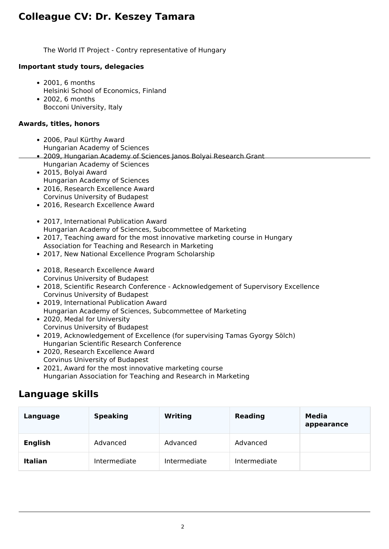## **Colleague CV: Dr. Keszey Tamara**

The World IT Project - Contry representative of Hungary

#### **Important study tours, delegacies**

- 2001, 6 months Helsinki School of Economics, Finland
- $\cdot$  2002, 6 months Bocconi University, Italy

#### **Awards, titles, honors**

- 2006, Paul Kürthy Award
- Hungarian Academy of Sciences
- 2009, Hungarian Academy of Sciences Janos Bolyai Research Grant
- Hungarian Academy of Sciences
- 2015, Bolyai Award Hungarian Academy of Sciences
- 2016, Research Excellence Award Corvinus University of Budapest
- 2016, Research Excellence Award
- 2017, International Publication Award Hungarian Academy of Sciences, Subcommettee of Marketing
- 2017, Teaching award for the most innovative marketing course in Hungary Association for Teaching and Research in Marketing
- 2017, New National Excellence Program Scholarship
- 2018, Research Excellence Award Corvinus University of Budapest
- 2018, Scientific Research Conference Acknowledgement of Supervisory Excellence Corvinus University of Budapest
- 2019, International Publication Award Hungarian Academy of Sciences, Subcommettee of Marketing
- 2020, Medal for University Corvinus University of Budapest
- 2019, Acknowledgement of Excellence (for supervising Tamas Gyorgy Sölch) Hungarian Scientific Research Conference
- 2020, Research Excellence Award Corvinus University of Budapest
- 2021, Award for the most innovative marketing course Hungarian Association for Teaching and Research in Marketing

### **Language skills**

| Language       | <b>Speaking</b> | <b>Writing</b> | <b>Reading</b> | Media<br>appearance |
|----------------|-----------------|----------------|----------------|---------------------|
| <b>English</b> | Advanced        | Advanced       | Advanced       |                     |
| <b>Italian</b> | Intermediate    | Intermediate   | Intermediate   |                     |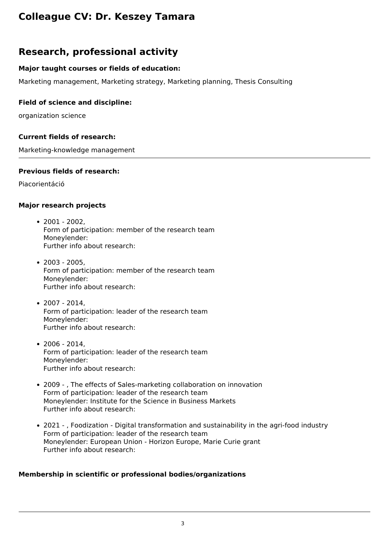## **Colleague CV: Dr. Keszey Tamara**

### **Research, professional activity**

#### **Major taught courses or fields of education:**

Marketing management, Marketing strategy, Marketing planning, Thesis Consulting

#### **Field of science and discipline:**

organization science

#### **Current fields of research:**

Marketing-knowledge management

#### **Previous fields of research:**

Piacorientáció

#### **Major research projects**

- $\cdot$  2001 2002. Form of participation: member of the research team Moneylender: Further info about research:
- $2003 2005.$ Form of participation: member of the research team Moneylender: Further info about research:
- 2007 2014, Form of participation: leader of the research team Moneylender: Further info about research:
- 2006 2014, Form of participation: leader of the research team Moneylender: Further info about research:
- 2009 , The effects of Sales-marketing collaboration on innovation Form of participation: leader of the research team Moneylender: Institute for the Science in Business Markets Further info about research:
- 2021 , Foodization Digital transformation and sustainability in the agri-food industry Form of participation: leader of the research team Moneylender: European Union - Horizon Europe, Marie Curie grant Further info about research:

#### **Membership in scientific or professional bodies/organizations**